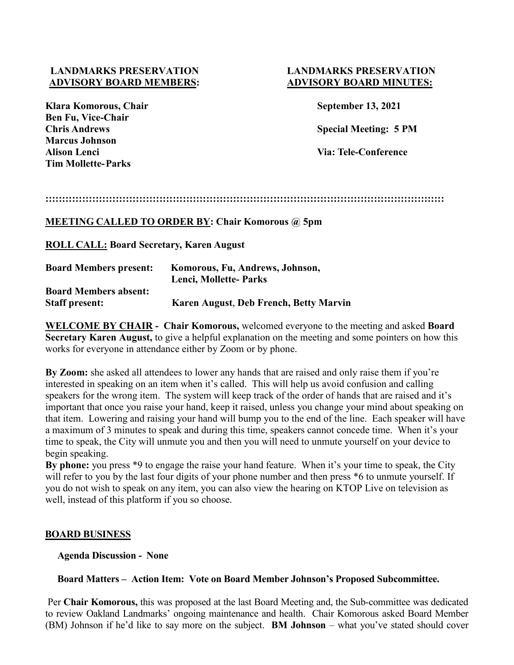## **LANDMARKS PRESERVATION LANDMARKS PRESERVATION ADVISORY BOARD MEMBERS: ADVISORY BOARD MINUTES:**

Klara Komorous, Chair **September 13, 2021 Ben Fu, Vice-Chair Chris Andrews Special Meeting: 5 PM Marcus Johnson Alison Lenci Via: Tele-Conference Tim Mollette- Parks** 

**:::::::::::::::::::::::::::::::::::::::::::::::::::::::::::::::::::::::::::::::::::::::::::::::::::::::::::::::::::::::**

# **MEETING CALLED TO ORDER BY: Chair Komorous @ 5pm**

**ROLL CALL: Board Secretary, Karen August**

| <b>Board Members present:</b> | Komorous, Fu, Andrews, Johnson,        |
|-------------------------------|----------------------------------------|
|                               | Lenci, Mollette- Parks                 |
| <b>Board Members absent:</b>  |                                        |
| <b>Staff present:</b>         | Karen August, Deb French, Betty Marvin |

**WELCOME BY CHAIR - Chair Komorous,** welcomed everyone to the meeting and asked **Board Secretary Karen August,** to give a helpful explanation on the meeting and some pointers on how this works for everyone in attendance either by Zoom or by phone.

**By Zoom:** she asked all attendees to lower any hands that are raised and only raise them if you're interested in speaking on an item when it's called. This will help us avoid confusion and calling speakers for the wrong item. The system will keep track of the order of hands that are raised and it's important that once you raise your hand, keep it raised, unless you change your mind about speaking on that item. Lowering and raising your hand will bump you to the end of the line. Each speaker will have a maximum of 3 minutes to speak and during this time, speakers cannot concede time. When it's your time to speak, the City will unmute you and then you will need to unmute yourself on your device to begin speaking.

**By phone:** you press \*9 to engage the raise your hand feature. When it's your time to speak, the City will refer to you by the last four digits of your phone number and then press  $*6$  to unmute yourself. If you do not wish to speak on any item, you can also view the hearing on KTOP Live on television as well, instead of this platform if you so choose.

## **BOARD BUSINESS**

 **Agenda Discussion - None** 

 **Board Matters – Action Item: Vote on Board Member Johnson's Proposed Subcommittee.** 

Per **Chair Komorous,** this was proposed at the last Board Meeting and, the Sub-committee was dedicated to review Oakland Landmarks' ongoing maintenance and health. Chair Komorous asked Board Member (BM) Johnson if he'd like to say more on the subject. **BM Johnson** – what you've stated should cover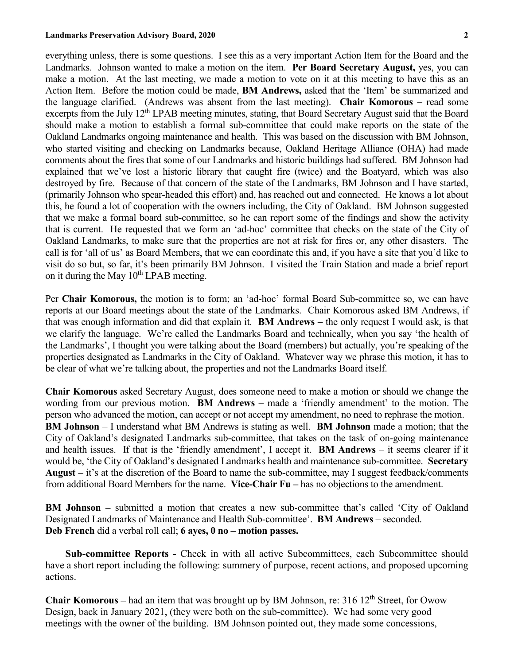everything unless, there is some questions. I see this as a very important Action Item for the Board and the Landmarks. Johnson wanted to make a motion on the item. **Per Board Secretary August,** yes, you can make a motion. At the last meeting, we made a motion to vote on it at this meeting to have this as an Action Item. Before the motion could be made, **BM Andrews,** asked that the 'Item' be summarized and the language clarified. (Andrews was absent from the last meeting). **Chair Komorous –** read some excerpts from the July 12<sup>th</sup> LPAB meeting minutes, stating, that Board Secretary August said that the Board should make a motion to establish a formal sub-committee that could make reports on the state of the Oakland Landmarks ongoing maintenance and health. This was based on the discussion with BM Johnson, who started visiting and checking on Landmarks because, Oakland Heritage Alliance (OHA) had made comments about the fires that some of our Landmarks and historic buildings had suffered. BM Johnson had explained that we've lost a historic library that caught fire (twice) and the Boatyard, which was also destroyed by fire. Because of that concern of the state of the Landmarks, BM Johnson and I have started, (primarily Johnson who spear-headed this effort) and, has reached out and connected. He knows a lot about this, he found a lot of cooperation with the owners including, the City of Oakland. BM Johnson suggested that we make a formal board sub-committee, so he can report some of the findings and show the activity that is current. He requested that we form an 'ad-hoc' committee that checks on the state of the City of Oakland Landmarks, to make sure that the properties are not at risk for fires or, any other disasters. The call is for 'all of us' as Board Members, that we can coordinate this and, if you have a site that you'd like to visit do so but, so far, it's been primarily BM Johnson. I visited the Train Station and made a brief report on it during the May  $10^{th}$  LPAB meeting.

Per **Chair Komorous,** the motion is to form; an 'ad-hoc' formal Board Sub-committee so, we can have reports at our Board meetings about the state of the Landmarks. Chair Komorous asked BM Andrews, if that was enough information and did that explain it. **BM Andrews –** the only request I would ask, is that we clarify the language. We're called the Landmarks Board and technically, when you say 'the health of the Landmarks', I thought you were talking about the Board (members) but actually, you're speaking of the properties designated as Landmarks in the City of Oakland. Whatever way we phrase this motion, it has to be clear of what we're talking about, the properties and not the Landmarks Board itself.

**Chair Komorous** asked Secretary August, does someone need to make a motion or should we change the wording from our previous motion. **BM Andrews** – made a 'friendly amendment' to the motion. The person who advanced the motion, can accept or not accept my amendment, no need to rephrase the motion. **BM Johnson** – I understand what BM Andrews is stating as well. **BM Johnson** made a motion; that the City of Oakland's designated Landmarks sub-committee, that takes on the task of on-going maintenance and health issues. If that is the 'friendly amendment', I accept it. **BM Andrews** – it seems clearer if it would be, 'the City of Oakland's designated Landmarks health and maintenance sub-committee. **Secretary August –** it's at the discretion of the Board to name the sub-committee, may I suggest feedback/comments from additional Board Members for the name. **Vice-Chair Fu –** has no objections to the amendment.

**BM Johnson –** submitted a motion that creates a new sub-committee that's called 'City of Oakland Designated Landmarks of Maintenance and Health Sub-committee'. **BM Andrews** – seconded. **Deb French** did a verbal roll call; **6 ayes, 0 no – motion passes.**

 **Sub-committee Reports -** Check in with all active Subcommittees, each Subcommittee should have a short report including the following: summery of purpose, recent actions, and proposed upcoming actions.

**Chair Komorous** – had an item that was brought up by BM Johnson, re: 316 12<sup>th</sup> Street, for Owow Design, back in January 2021, (they were both on the sub-committee). We had some very good meetings with the owner of the building. BM Johnson pointed out, they made some concessions,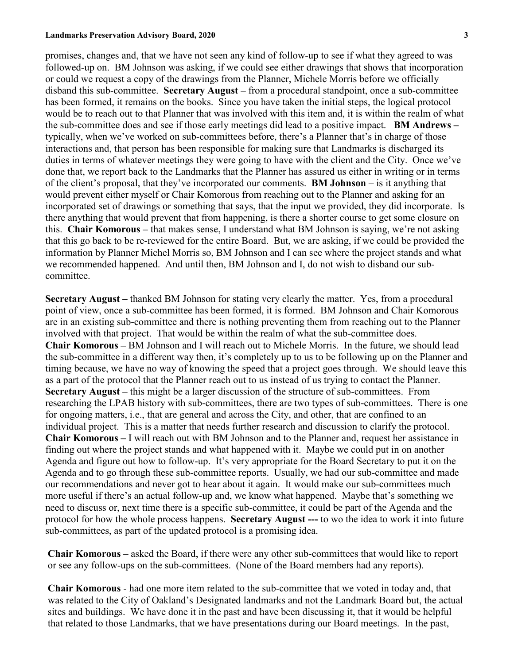#### **Landmarks Preservation Advisory Board, 2020 3**

promises, changes and, that we have not seen any kind of follow-up to see if what they agreed to was followed-up on. BM Johnson was asking, if we could see either drawings that shows that incorporation or could we request a copy of the drawings from the Planner, Michele Morris before we officially disband this sub-committee. **Secretary August –** from a procedural standpoint, once a sub-committee has been formed, it remains on the books. Since you have taken the initial steps, the logical protocol would be to reach out to that Planner that was involved with this item and, it is within the realm of what the sub-committee does and see if those early meetings did lead to a positive impact. **BM Andrews –** typically, when we've worked on sub-committees before, there's a Planner that's in charge of those interactions and, that person has been responsible for making sure that Landmarks is discharged its duties in terms of whatever meetings they were going to have with the client and the City. Once we've done that, we report back to the Landmarks that the Planner has assured us either in writing or in terms of the client's proposal, that they've incorporated our comments. **BM Johnson** – is it anything that would prevent either myself or Chair Komorous from reaching out to the Planner and asking for an incorporated set of drawings or something that says, that the input we provided, they did incorporate. Is there anything that would prevent that from happening, is there a shorter course to get some closure on this. **Chair Komorous –** that makes sense, I understand what BM Johnson is saying, we're not asking that this go back to be re-reviewed for the entire Board. But, we are asking, if we could be provided the information by Planner Michel Morris so, BM Johnson and I can see where the project stands and what we recommended happened. And until then, BM Johnson and I, do not wish to disband our subcommittee.

**Secretary August –** thanked BM Johnson for stating very clearly the matter. Yes, from a procedural point of view, once a sub-committee has been formed, it is formed. BM Johnson and Chair Komorous are in an existing sub-committee and there is nothing preventing them from reaching out to the Planner involved with that project. That would be within the realm of what the sub-committee does. **Chair Komorous –** BM Johnson and I will reach out to Michele Morris. In the future, we should lead the sub-committee in a different way then, it's completely up to us to be following up on the Planner and timing because, we have no way of knowing the speed that a project goes through. We should leave this as a part of the protocol that the Planner reach out to us instead of us trying to contact the Planner. **Secretary August –** this might be a larger discussion of the structure of sub-committees. From researching the LPAB history with sub-committees, there are two types of sub-committees. There is one for ongoing matters, i.e., that are general and across the City, and other, that are confined to an individual project. This is a matter that needs further research and discussion to clarify the protocol. **Chair Komorous –** I will reach out with BM Johnson and to the Planner and, request her assistance in finding out where the project stands and what happened with it. Maybe we could put in on another Agenda and figure out how to follow-up. It's very appropriate for the Board Secretary to put it on the Agenda and to go through these sub-committee reports. Usually, we had our sub-committee and made our recommendations and never got to hear about it again. It would make our sub-committees much more useful if there's an actual follow-up and, we know what happened. Maybe that's something we need to discuss or, next time there is a specific sub-committee, it could be part of the Agenda and the protocol for how the whole process happens. **Secretary August ---** to wo the idea to work it into future sub-committees, as part of the updated protocol is a promising idea.

**Chair Komorous –** asked the Board, if there were any other sub-committees that would like to report or see any follow-ups on the sub-committees. (None of the Board members had any reports).

**Chair Komorous** - had one more item related to the sub-committee that we voted in today and, that was related to the City of Oakland's Designated landmarks and not the Landmark Board but, the actual sites and buildings. We have done it in the past and have been discussing it, that it would be helpful that related to those Landmarks, that we have presentations during our Board meetings. In the past,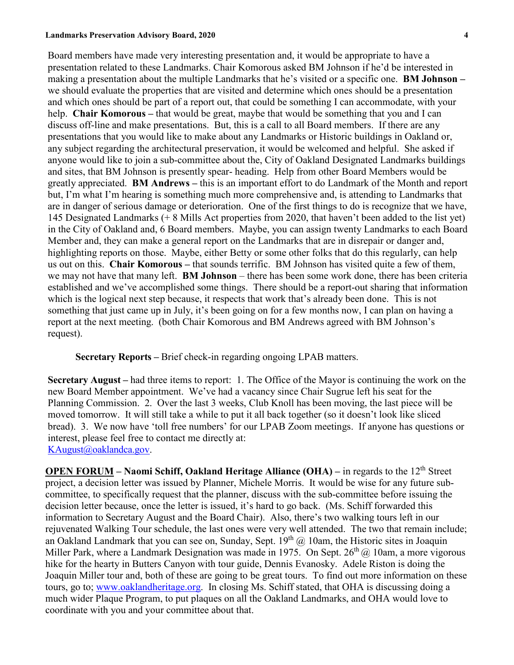### **Landmarks Preservation Advisory Board, 2020 4**

Board members have made very interesting presentation and, it would be appropriate to have a presentation related to these Landmarks. Chair Komorous asked BM Johnson if he'd be interested in making a presentation about the multiple Landmarks that he's visited or a specific one. **BM Johnson –** we should evaluate the properties that are visited and determine which ones should be a presentation and which ones should be part of a report out, that could be something I can accommodate, with your help. **Chair Komorous –** that would be great, maybe that would be something that you and I can discuss off-line and make presentations. But, this is a call to all Board members. If there are any presentations that you would like to make about any Landmarks or Historic buildings in Oakland or, any subject regarding the architectural preservation, it would be welcomed and helpful. She asked if anyone would like to join a sub-committee about the, City of Oakland Designated Landmarks buildings and sites, that BM Johnson is presently spear- heading. Help from other Board Members would be greatly appreciated. **BM Andrews –** this is an important effort to do Landmark of the Month and report but, I'm what I'm hearing is something much more comprehensive and, is attending to Landmarks that are in danger of serious damage or deterioration. One of the first things to do is recognize that we have, 145 Designated Landmarks (+ 8 Mills Act properties from 2020, that haven't been added to the list yet) in the City of Oakland and, 6 Board members. Maybe, you can assign twenty Landmarks to each Board Member and, they can make a general report on the Landmarks that are in disrepair or danger and, highlighting reports on those. Maybe, either Betty or some other folks that do this regularly, can help us out on this. **Chair Komorous –** that sounds terrific. BM Johnson has visited quite a few of them, we may not have that many left. **BM Johnson** – there has been some work done, there has been criteria established and we've accomplished some things. There should be a report-out sharing that information which is the logical next step because, it respects that work that's already been done. This is not something that just came up in July, it's been going on for a few months now, I can plan on having a report at the next meeting. (both Chair Komorous and BM Andrews agreed with BM Johnson's request).

**Secretary Reports –** Brief check-in regarding ongoing LPAB matters.

**Secretary August –** had three items to report: 1. The Office of the Mayor is continuing the work on the new Board Member appointment. We've had a vacancy since Chair Sugrue left his seat for the Planning Commission. 2. Over the last 3 weeks, Club Knoll has been moving, the last piece will be moved tomorrow. It will still take a while to put it all back together (so it doesn't look like sliced bread). 3. We now have 'toll free numbers' for our LPAB Zoom meetings. If anyone has questions or interest, please feel free to contact me directly at:

[KAugust@oaklandca.gov.](mailto:KAugust@oaklandca.gov)

**OPEN FORUM – Naomi Schiff, Oakland Heritage Alliance (OHA) – in regards to the 12<sup>th</sup> Street** project, a decision letter was issued by Planner, Michele Morris. It would be wise for any future subcommittee, to specifically request that the planner, discuss with the sub-committee before issuing the decision letter because, once the letter is issued, it's hard to go back. (Ms. Schiff forwarded this information to Secretary August and the Board Chair). Also, there's two walking tours left in our rejuvenated Walking Tour schedule, the last ones were very well attended. The two that remain include; an Oakland Landmark that you can see on, Sunday, Sept.  $19<sup>th</sup>$  @ 10am, the Historic sites in Joaquin Miller Park, where a Landmark Designation was made in 1975. On Sept.  $26<sup>th</sup>(a)$  10am, a more vigorous hike for the hearty in Butters Canyon with tour guide, Dennis Evanosky. Adele Riston is doing the Joaquin Miller tour and, both of these are going to be great tours. To find out more information on these tours, go to; [www.oaklandheritage.org.](http://www.oaklandheritage.org/) In closing Ms. Schiff stated, that OHA is discussing doing a much wider Plaque Program, to put plaques on all the Oakland Landmarks, and OHA would love to coordinate with you and your committee about that.